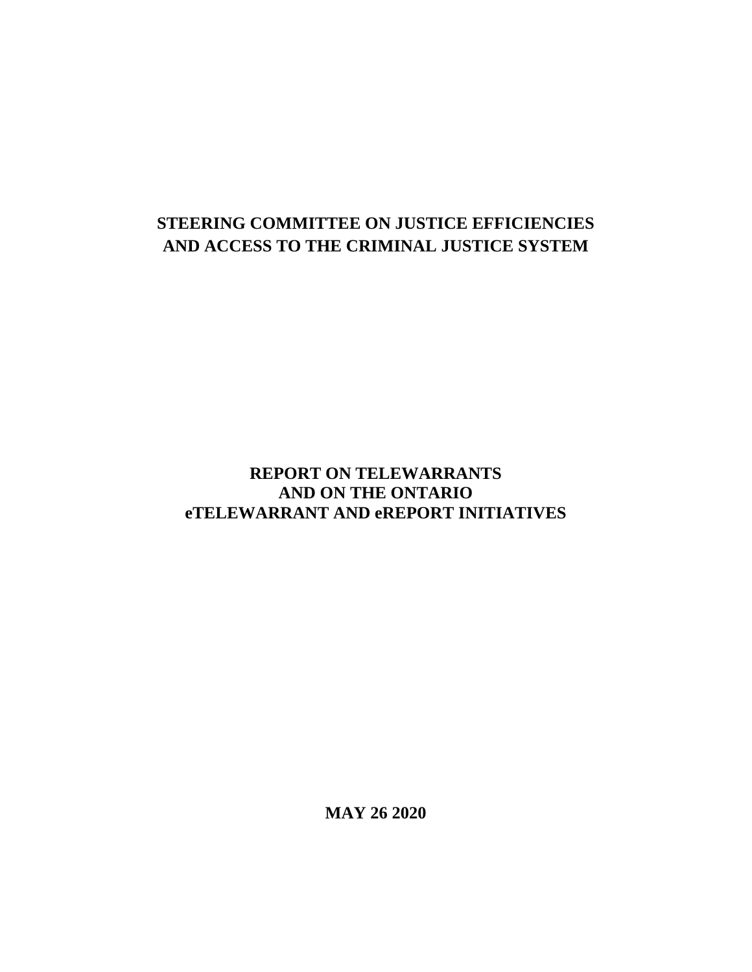# **STEERING COMMITTEE ON JUSTICE EFFICIENCIES AND ACCESS TO THE CRIMINAL JUSTICE SYSTEM**

## **REPORT ON TELEWARRANTS AND ON THE ONTARIO eTELEWARRANT AND eREPORT INITIATIVES**

**MAY 26 2020**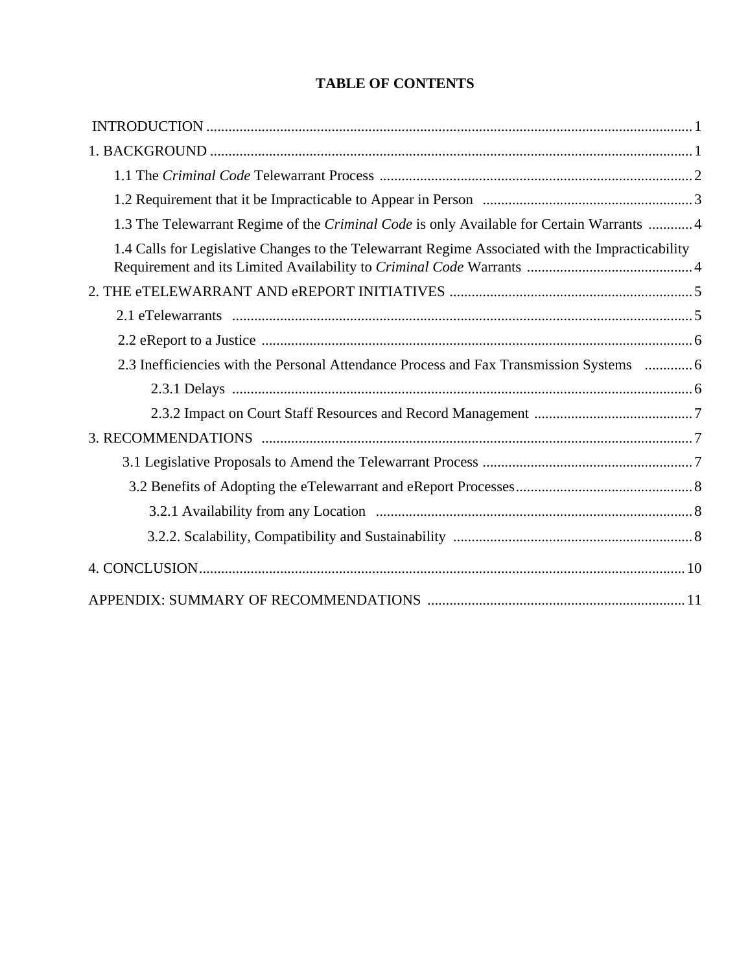## **TABLE OF CONTENTS**

| 1.3 The Telewarrant Regime of the Criminal Code is only Available for Certain Warrants  4        |  |
|--------------------------------------------------------------------------------------------------|--|
| 1.4 Calls for Legislative Changes to the Telewarrant Regime Associated with the Impracticability |  |
|                                                                                                  |  |
|                                                                                                  |  |
|                                                                                                  |  |
| 2.3 Inefficiencies with the Personal Attendance Process and Fax Transmission Systems  6          |  |
|                                                                                                  |  |
|                                                                                                  |  |
|                                                                                                  |  |
|                                                                                                  |  |
|                                                                                                  |  |
|                                                                                                  |  |
|                                                                                                  |  |
|                                                                                                  |  |
|                                                                                                  |  |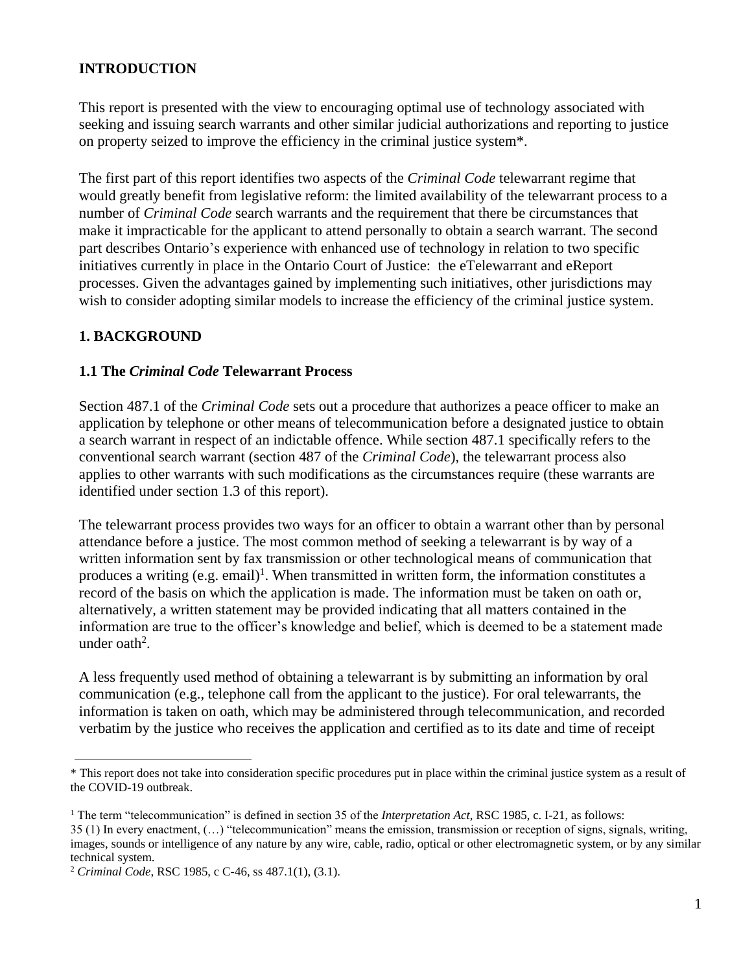### **INTRODUCTION**

This report is presented with the view to encouraging optimal use of technology associated with seeking and issuing search warrants and other similar judicial authorizations and reporting to justice on property seized to improve the efficiency in the criminal justice system\*.

The first part of this report identifies two aspects of the *Criminal Code* telewarrant regime that would greatly benefit from legislative reform: the limited availability of the telewarrant process to a number of *Criminal Code* search warrants and the requirement that there be circumstances that make it impracticable for the applicant to attend personally to obtain a search warrant. The second part describes Ontario's experience with enhanced use of technology in relation to two specific initiatives currently in place in the Ontario Court of Justice: the eTelewarrant and eReport processes. Given the advantages gained by implementing such initiatives, other jurisdictions may wish to consider adopting similar models to increase the efficiency of the criminal justice system.

#### **1. BACKGROUND**

#### **1.1 The** *Criminal Code* **Telewarrant Process**

Section 487.1 of the *Criminal Code* sets out a procedure that authorizes a peace officer to make an application by telephone or other means of telecommunication before a designated justice to obtain a search warrant in respect of an indictable offence. While section 487.1 specifically refers to the conventional search warrant (section 487 of the *Criminal Code*), the telewarrant process also applies to other warrants with such modifications as the circumstances require (these warrants are identified under section 1.3 of this report).

The telewarrant process provides two ways for an officer to obtain a warrant other than by personal attendance before a justice. The most common method of seeking a telewarrant is by way of a written information sent by fax transmission or other technological means of communication that produces a writing  $(e.g. email)^1$ . When transmitted in written form, the information constitutes a record of the basis on which the application is made. The information must be taken on oath or, alternatively, a written statement may be provided indicating that all matters contained in the information are true to the officer's knowledge and belief, which is deemed to be a statement made under oath<sup>2</sup>.

A less frequently used method of obtaining a telewarrant is by submitting an information by oral communication (e.g., telephone call from the applicant to the justice). For oral telewarrants, the information is taken on oath, which may be administered through telecommunication, and recorded verbatim by the justice who receives the application and certified as to its date and time of receipt

<sup>\*</sup> This report does not take into consideration specific procedures put in place within the criminal justice system as a result of the COVID-19 outbreak.

<sup>&</sup>lt;sup>1</sup> The term "telecommunication" is defined in section 35 of the *Interpretation Act*, RSC 1985, c. I-21, as follows:

<sup>35 (1)</sup> In every enactment, (…) "telecommunication" means the emission, transmission or reception of signs, signals, writing, images, sounds or intelligence of any nature by any wire, cable, radio, optical or other electromagnetic system, or by any similar technical system.

<sup>2</sup> *Criminal Code*, RSC 1985, c C-46, ss 487.1(1), (3.1).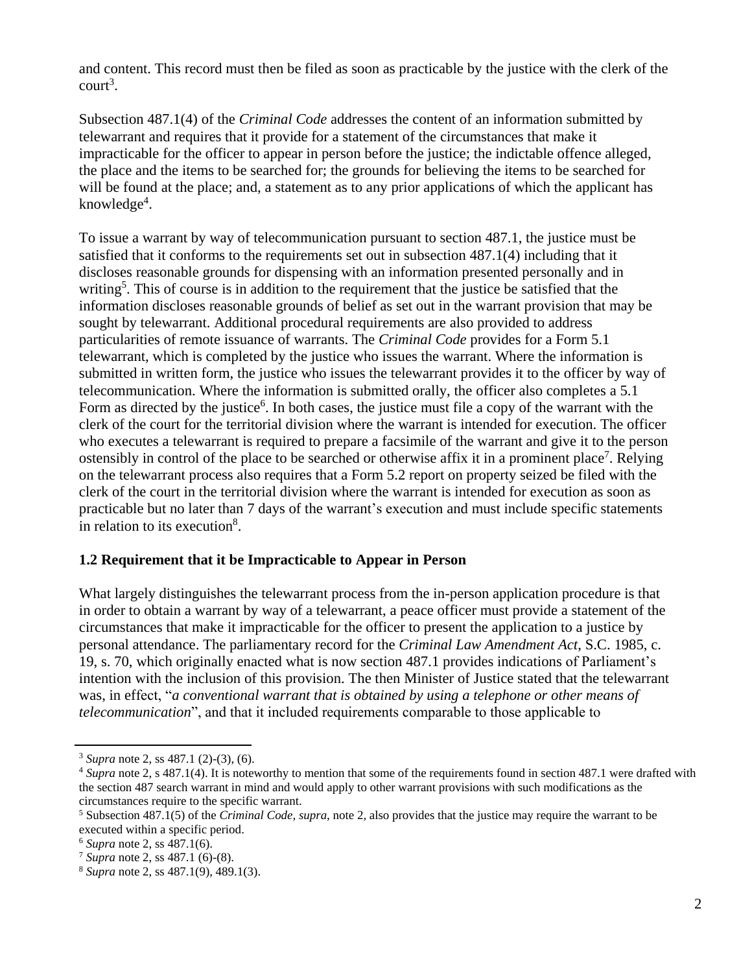and content. This record must then be filed as soon as practicable by the justice with the clerk of the  $\text{court}^3$ .

Subsection 487.1(4) of the *Criminal Code* addresses the content of an information submitted by telewarrant and requires that it provide for a statement of the circumstances that make it impracticable for the officer to appear in person before the justice; the indictable offence alleged, the place and the items to be searched for; the grounds for believing the items to be searched for will be found at the place; and, a statement as to any prior applications of which the applicant has knowledge<sup>4</sup>.

To issue a warrant by way of telecommunication pursuant to section 487.1, the justice must be satisfied that it conforms to the requirements set out in subsection 487.1(4) including that it discloses reasonable grounds for dispensing with an information presented personally and in writing<sup>5</sup>. This of course is in addition to the requirement that the justice be satisfied that the information discloses reasonable grounds of belief as set out in the warrant provision that may be sought by telewarrant. Additional procedural requirements are also provided to address particularities of remote issuance of warrants. The *Criminal Code* provides for a Form 5.1 telewarrant, which is completed by the justice who issues the warrant. Where the information is submitted in written form, the justice who issues the telewarrant provides it to the officer by way of telecommunication. Where the information is submitted orally, the officer also completes a 5.1 Form as directed by the justice<sup>6</sup>. In both cases, the justice must file a copy of the warrant with the clerk of the court for the territorial division where the warrant is intended for execution. The officer who executes a telewarrant is required to prepare a facsimile of the warrant and give it to the person ostensibly in control of the place to be searched or otherwise affix it in a prominent place<sup>7</sup>. Relying on the telewarrant process also requires that a Form 5.2 report on property seized be filed with the clerk of the court in the territorial division where the warrant is intended for execution as soon as practicable but no later than 7 days of the warrant's execution and must include specific statements in relation to its execution<sup>8</sup>.

#### **1.2 Requirement that it be Impracticable to Appear in Person**

What largely distinguishes the telewarrant process from the in-person application procedure is that in order to obtain a warrant by way of a telewarrant, a peace officer must provide a statement of the circumstances that make it impracticable for the officer to present the application to a justice by personal attendance. The parliamentary record for the *Criminal Law Amendment Act*, S.C. 1985, c. 19, s. 70, which originally enacted what is now section 487.1 provides indications of Parliament's intention with the inclusion of this provision. The then Minister of Justice stated that the telewarrant was, in effect, "*a conventional warrant that is obtained by using a telephone or other means of telecommunication*", and that it included requirements comparable to those applicable to

<sup>3</sup> *Supra* note 2, ss 487.1 (2)-(3), (6).

<sup>&</sup>lt;sup>4</sup> *Supra* note 2, s 487.1(4). It is noteworthy to mention that some of the requirements found in section 487.1 were drafted with the section 487 search warrant in mind and would apply to other warrant provisions with such modifications as the circumstances require to the specific warrant.

<sup>5</sup> Subsection 487.1(5) of the *Criminal Code, supra*, note 2, also provides that the justice may require the warrant to be executed within a specific period.

<sup>6</sup> *Supra* note 2, ss 487.1(6).

<sup>7</sup> *Supra* note 2, ss 487.1 (6)-(8).

<sup>8</sup> *Supra* note 2, ss 487.1(9), 489.1(3).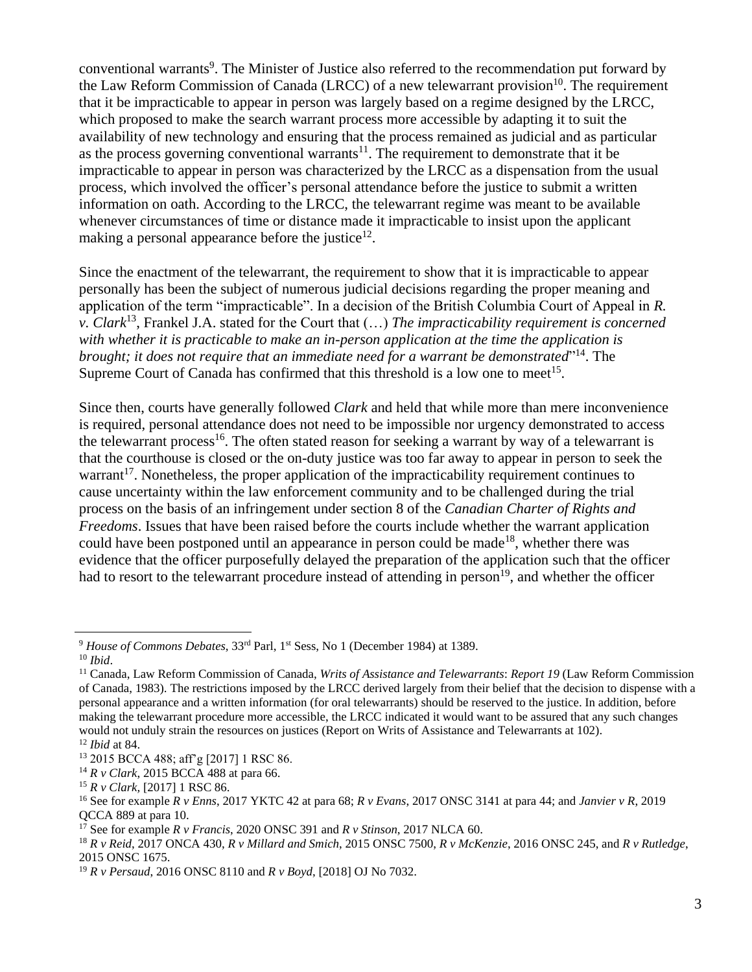conventional warrants<sup>9</sup>. The Minister of Justice also referred to the recommendation put forward by the Law Reform Commission of Canada (LRCC) of a new telewarrant provision<sup>10</sup>. The requirement that it be impracticable to appear in person was largely based on a regime designed by the LRCC, which proposed to make the search warrant process more accessible by adapting it to suit the availability of new technology and ensuring that the process remained as judicial and as particular as the process governing conventional warrants $11$ . The requirement to demonstrate that it be impracticable to appear in person was characterized by the LRCC as a dispensation from the usual process, which involved the officer's personal attendance before the justice to submit a written information on oath. According to the LRCC, the telewarrant regime was meant to be available whenever circumstances of time or distance made it impracticable to insist upon the applicant making a personal appearance before the justice $^{12}$ .

Since the enactment of the telewarrant, the requirement to show that it is impracticable to appear personally has been the subject of numerous judicial decisions regarding the proper meaning and application of the term "impracticable". In a decision of the British Columbia Court of Appeal in *R. v. Clark*<sup>13</sup> , Frankel J.A. stated for the Court that (…) *The impracticability requirement is concerned with whether it is practicable to make an in-person application at the time the application is*  brought; it does not require that an immediate need for a warrant be demonstrated"<sup>14</sup>. The Supreme Court of Canada has confirmed that this threshold is a low one to meet<sup>15</sup>.

Since then, courts have generally followed *Clark* and held that while more than mere inconvenience is required, personal attendance does not need to be impossible nor urgency demonstrated to access the telewarrant process<sup>16</sup>. The often stated reason for seeking a warrant by way of a telewarrant is that the courthouse is closed or the on-duty justice was too far away to appear in person to seek the warrant<sup>17</sup>. Nonetheless, the proper application of the impracticability requirement continues to cause uncertainty within the law enforcement community and to be challenged during the trial process on the basis of an infringement under section 8 of the *Canadian Charter of Rights and Freedoms*. Issues that have been raised before the courts include whether the warrant application could have been postponed until an appearance in person could be made<sup>18</sup>, whether there was evidence that the officer purposefully delayed the preparation of the application such that the officer had to resort to the telewarrant procedure instead of attending in person<sup>19</sup>, and whether the officer

<sup>9</sup> *House of Commons Debates*, 33rd Parl, 1st Sess, No 1 (December 1984) at 1389.

<sup>10</sup> *Ibid*.

<sup>11</sup> Canada, Law Reform Commission of Canada, *Writs of Assistance and Telewarrants*: *Report 19* (Law Reform Commission of Canada, 1983). The restrictions imposed by the LRCC derived largely from their belief that the decision to dispense with a personal appearance and a written information (for oral telewarrants) should be reserved to the justice. In addition, before making the telewarrant procedure more accessible, the LRCC indicated it would want to be assured that any such changes would not unduly strain the resources on justices (Report on Writs of Assistance and Telewarrants at 102).

<sup>12</sup> *Ibid* at 84.

<sup>13</sup> 2015 BCCA 488; aff'g [2017] 1 RSC 86.

<sup>14</sup> *R v Clark*, 2015 BCCA 488 at para 66.

<sup>15</sup> *R v Clark,* [2017] 1 RSC 86.

<sup>16</sup> See for example *R v Enns*, 2017 YKTC 42 at para 68; *R v Evans*, 2017 ONSC 3141 at para 44; and *Janvier v R*, 2019 QCCA 889 at para 10.

<sup>17</sup> See for example *R v Francis*, 2020 ONSC 391 and *R v Stinson*, 2017 NLCA 60.

<sup>18</sup> *R v Reid*, 2017 ONCA 430, *R v Millard and Smich*, 2015 ONSC 7500, *R v McKenzie*, 2016 ONSC 245, and *R v Rutledge*, 2015 ONSC 1675.

<sup>19</sup> *R v Persaud*, 2016 ONSC 8110 and *R v Boyd*, [2018] OJ No 7032.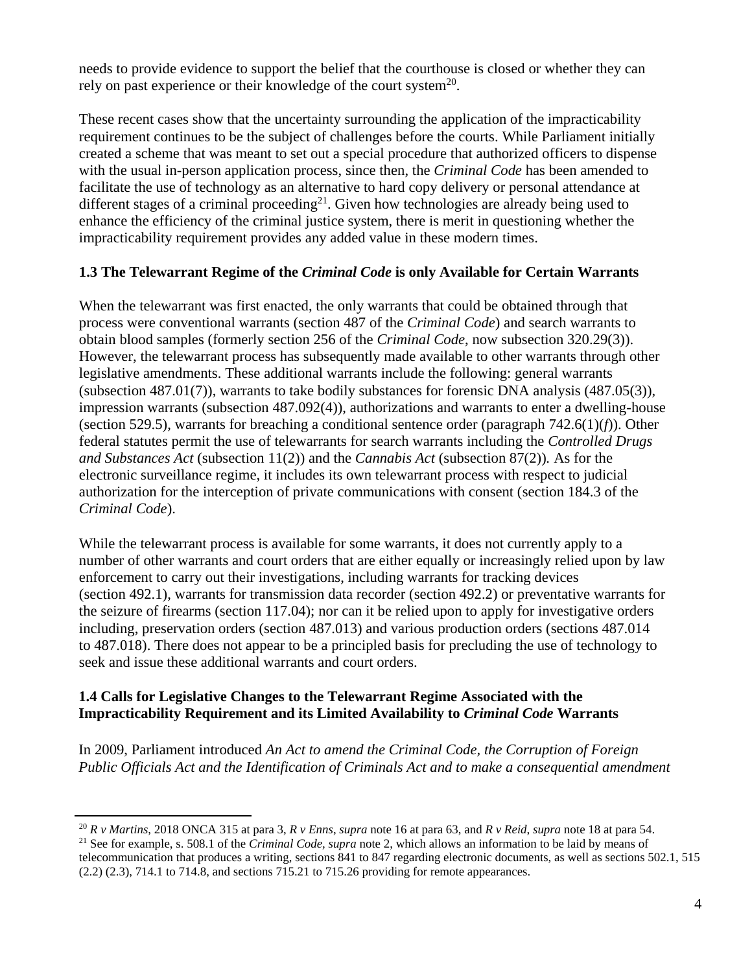needs to provide evidence to support the belief that the courthouse is closed or whether they can rely on past experience or their knowledge of the court system $^{20}$ .

These recent cases show that the uncertainty surrounding the application of the impracticability requirement continues to be the subject of challenges before the courts. While Parliament initially created a scheme that was meant to set out a special procedure that authorized officers to dispense with the usual in-person application process, since then, the *Criminal Code* has been amended to facilitate the use of technology as an alternative to hard copy delivery or personal attendance at different stages of a criminal proceeding<sup>21</sup>. Given how technologies are already being used to enhance the efficiency of the criminal justice system, there is merit in questioning whether the impracticability requirement provides any added value in these modern times.

#### **1.3 The Telewarrant Regime of the** *Criminal Code* **is only Available for Certain Warrants**

When the telewarrant was first enacted, the only warrants that could be obtained through that process were conventional warrants (section 487 of the *Criminal Code*) and search warrants to obtain blood samples (formerly section 256 of the *Criminal Code*, now subsection 320.29(3)). However, the telewarrant process has subsequently made available to other warrants through other legislative amendments. These additional warrants include the following: general warrants (subsection 487.01(7)), warrants to take bodily substances for forensic DNA analysis (487.05(3)), impression warrants (subsection 487.092(4)), authorizations and warrants to enter a dwelling-house (section 529.5), warrants for breaching a conditional sentence order (paragraph 742.6(1)(*f*)). Other federal statutes permit the use of telewarrants for search warrants including the *Controlled Drugs and Substances Act* (subsection 11(2)) and the *Cannabis Act* (subsection 87(2))*.* As for the electronic surveillance regime, it includes its own telewarrant process with respect to judicial authorization for the interception of private communications with consent (section 184.3 of the *Criminal Code*).

While the telewarrant process is available for some warrants, it does not currently apply to a number of other warrants and court orders that are either equally or increasingly relied upon by law enforcement to carry out their investigations, including warrants for tracking devices (section 492.1), warrants for transmission data recorder (section 492.2) or preventative warrants for the seizure of firearms (section 117.04); nor can it be relied upon to apply for investigative orders including, preservation orders (section 487.013) and various production orders (sections 487.014 to 487.018). There does not appear to be a principled basis for precluding the use of technology to seek and issue these additional warrants and court orders.

### **1.4 Calls for Legislative Changes to the Telewarrant Regime Associated with the Impracticability Requirement and its Limited Availability to** *Criminal Code* **Warrants**

In 2009, Parliament introduced *An Act to amend the Criminal Code, the Corruption of Foreign Public Officials Act and the Identification of Criminals Act and to make a consequential amendment* 

<sup>20</sup> *R v Martins*, 2018 ONCA 315 at para 3, *R v Enns*, *supra* note 16 at para 63, and *R v Reid*, *supra* note 18 at para 54.

<sup>21</sup> See for example, s. 508.1 of the *Criminal Code, supra* note 2, which allows an information to be laid by means of telecommunication that produces a writing, sections 841 to 847 regarding electronic documents, as well as sections 502.1, 515 (2.2) (2.3), 714.1 to 714.8, and sections 715.21 to 715.26 providing for remote appearances.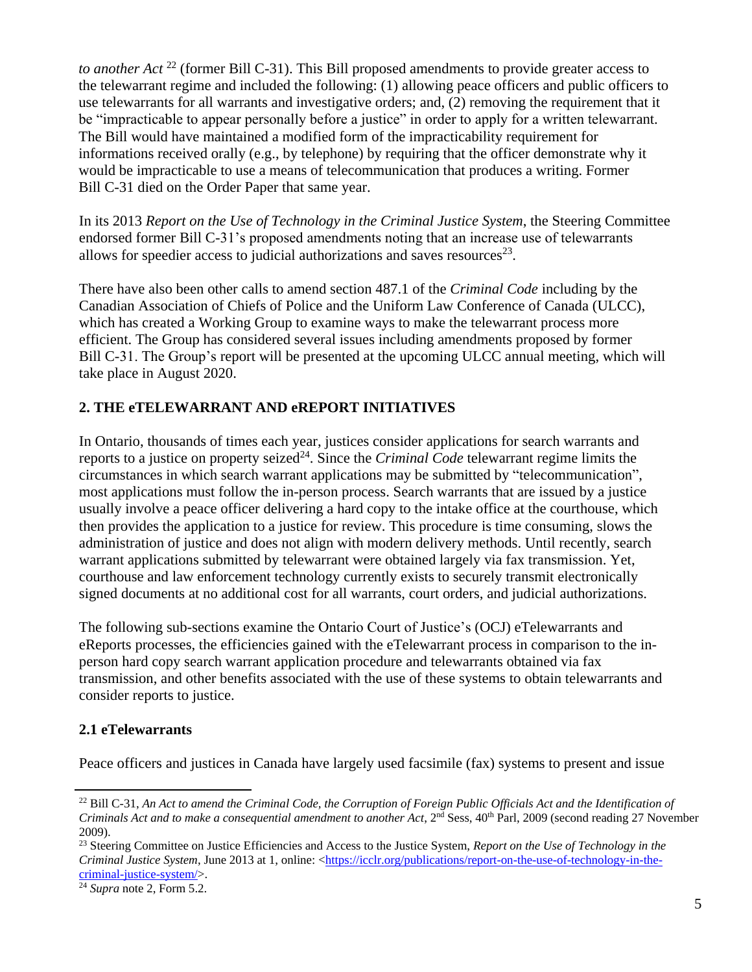*to another Act* <sup>22</sup> (former Bill C-31). This Bill proposed amendments to provide greater access to the telewarrant regime and included the following: (1) allowing peace officers and public officers to use telewarrants for all warrants and investigative orders; and, (2) removing the requirement that it be "impracticable to appear personally before a justice" in order to apply for a written telewarrant. The Bill would have maintained a modified form of the impracticability requirement for informations received orally (e.g., by telephone) by requiring that the officer demonstrate why it would be impracticable to use a means of telecommunication that produces a writing. Former Bill C-31 died on the Order Paper that same year.

In its 2013 *Report on the Use of Technology in the Criminal Justice System*, the Steering Committee endorsed former Bill C-31's proposed amendments noting that an increase use of telewarrants allows for speedier access to judicial authorizations and saves resources<sup>23</sup>.

There have also been other calls to amend section 487.1 of the *Criminal Code* including by the Canadian Association of Chiefs of Police and the Uniform Law Conference of Canada (ULCC), which has created a Working Group to examine ways to make the telewarrant process more efficient. The Group has considered several issues including amendments proposed by former Bill C-31. The Group's report will be presented at the upcoming ULCC annual meeting, which will take place in August 2020.

## **2. THE eTELEWARRANT AND eREPORT INITIATIVES**

In Ontario, thousands of times each year, justices consider applications for search warrants and reports to a justice on property seized<sup>24</sup>. Since the *Criminal Code* telewarrant regime limits the circumstances in which search warrant applications may be submitted by "telecommunication", most applications must follow the in-person process. Search warrants that are issued by a justice usually involve a peace officer delivering a hard copy to the intake office at the courthouse, which then provides the application to a justice for review. This procedure is time consuming, slows the administration of justice and does not align with modern delivery methods. Until recently, search warrant applications submitted by telewarrant were obtained largely via fax transmission. Yet, courthouse and law enforcement technology currently exists to securely transmit electronically signed documents at no additional cost for all warrants, court orders, and judicial authorizations.

The following sub-sections examine the Ontario Court of Justice's (OCJ) eTelewarrants and eReports processes, the efficiencies gained with the eTelewarrant process in comparison to the inperson hard copy search warrant application procedure and telewarrants obtained via fax transmission, and other benefits associated with the use of these systems to obtain telewarrants and consider reports to justice.

## **2.1 eTelewarrants**

Peace officers and justices in Canada have largely used facsimile (fax) systems to present and issue

<sup>&</sup>lt;sup>22</sup> Bill C-31, *An Act to amend the Criminal Code, the Corruption of Foreign Public Officials Act and the Identification of Criminals Act and to make a consequential amendment to another Act*, 2<sup>nd</sup> Sess, 40<sup>th</sup> Parl, 2009 (second reading 27 November 2009).

<sup>23</sup> Steering Committee on Justice Efficiencies and Access to the Justice System, *Report on the Use of Technology in the Criminal Justice System*, June 2013 at 1, online: [<https://icclr.org/publications/report-on-the-use-of-technology-in-the](https://icclr.org/publications/report-on-the-use-of-technology-in-the-criminal-justice-system/)[criminal-justice-system/>](https://icclr.org/publications/report-on-the-use-of-technology-in-the-criminal-justice-system/).

<sup>24</sup> *Supra* note 2, Form 5.2.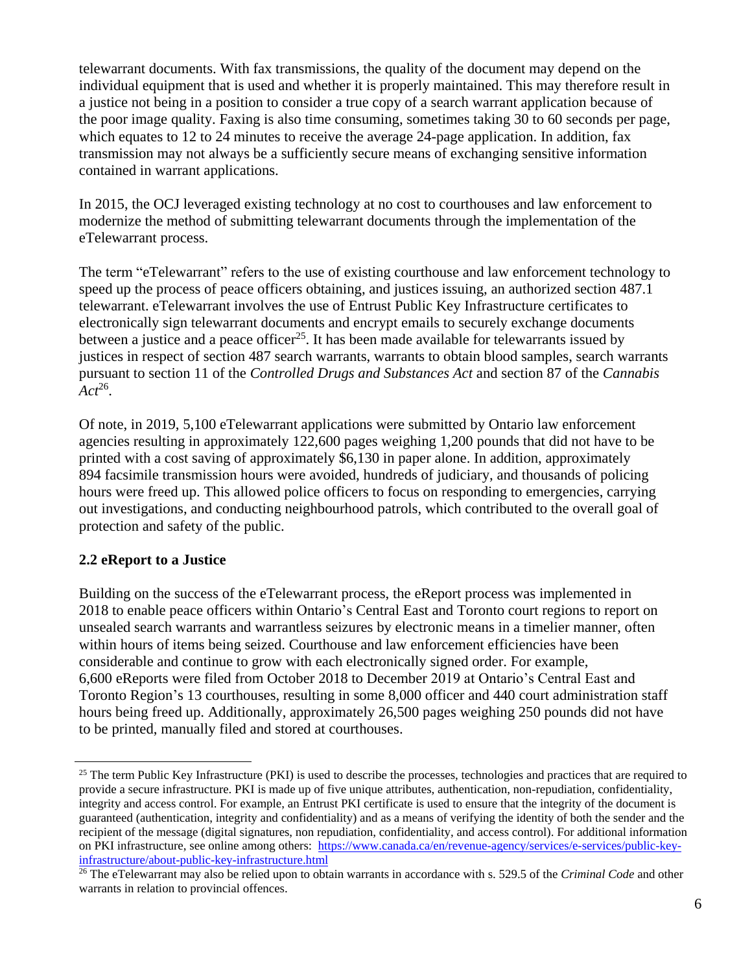telewarrant documents. With fax transmissions, the quality of the document may depend on the individual equipment that is used and whether it is properly maintained. This may therefore result in a justice not being in a position to consider a true copy of a search warrant application because of the poor image quality. Faxing is also time consuming, sometimes taking 30 to 60 seconds per page, which equates to 12 to 24 minutes to receive the average 24-page application. In addition, fax transmission may not always be a sufficiently secure means of exchanging sensitive information contained in warrant applications.

In 2015, the OCJ leveraged existing technology at no cost to courthouses and law enforcement to modernize the method of submitting telewarrant documents through the implementation of the eTelewarrant process.

The term "eTelewarrant" refers to the use of existing courthouse and law enforcement technology to speed up the process of peace officers obtaining, and justices issuing, an authorized section 487.1 telewarrant. eTelewarrant involves the use of Entrust Public Key Infrastructure certificates to electronically sign telewarrant documents and encrypt emails to securely exchange documents between a justice and a peace officer<sup>25</sup>. It has been made available for telewarrants issued by justices in respect of section 487 search warrants, warrants to obtain blood samples, search warrants pursuant to section 11 of the *Controlled Drugs and Substances Act* and section 87 of the *Cannabis*   $Act^{26}$ .

Of note, in 2019, 5,100 eTelewarrant applications were submitted by Ontario law enforcement agencies resulting in approximately 122,600 pages weighing 1,200 pounds that did not have to be printed with a cost saving of approximately \$6,130 in paper alone. In addition, approximately 894 facsimile transmission hours were avoided, hundreds of judiciary, and thousands of policing hours were freed up. This allowed police officers to focus on responding to emergencies, carrying out investigations, and conducting neighbourhood patrols, which contributed to the overall goal of protection and safety of the public.

## **2.2 eReport to a Justice**

Building on the success of the eTelewarrant process, the eReport process was implemented in 2018 to enable peace officers within Ontario's Central East and Toronto court regions to report on unsealed search warrants and warrantless seizures by electronic means in a timelier manner, often within hours of items being seized. Courthouse and law enforcement efficiencies have been considerable and continue to grow with each electronically signed order. For example, 6,600 eReports were filed from October 2018 to December 2019 at Ontario's Central East and Toronto Region's 13 courthouses, resulting in some 8,000 officer and 440 court administration staff hours being freed up. Additionally, approximately 26,500 pages weighing 250 pounds did not have to be printed, manually filed and stored at courthouses.

 $25$  The term Public Key Infrastructure (PKI) is used to describe the processes, technologies and practices that are required to provide a secure infrastructure. PKI is made up of five unique attributes, authentication, non-repudiation, confidentiality, integrity and access control. For example, an Entrust PKI certificate is used to ensure that the integrity of the document is guaranteed (authentication, integrity and confidentiality) and as a means of verifying the identity of both the sender and the recipient of the message (digital signatures, non repudiation, confidentiality, and access control). For additional information on PKI infrastructure, see online among others: [https://www.canada.ca/en/revenue-agency/services/e-services/public-key](https://www.canada.ca/en/revenue-agency/services/e-services/public-key-infrastructure/about-public-key-infrastructure.html)[infrastructure/about-public-key-infrastructure.html](https://www.canada.ca/en/revenue-agency/services/e-services/public-key-infrastructure/about-public-key-infrastructure.html)

<sup>26</sup> The eTelewarrant may also be relied upon to obtain warrants in accordance with s. 529.5 of the *Criminal Code* and other warrants in relation to provincial offences.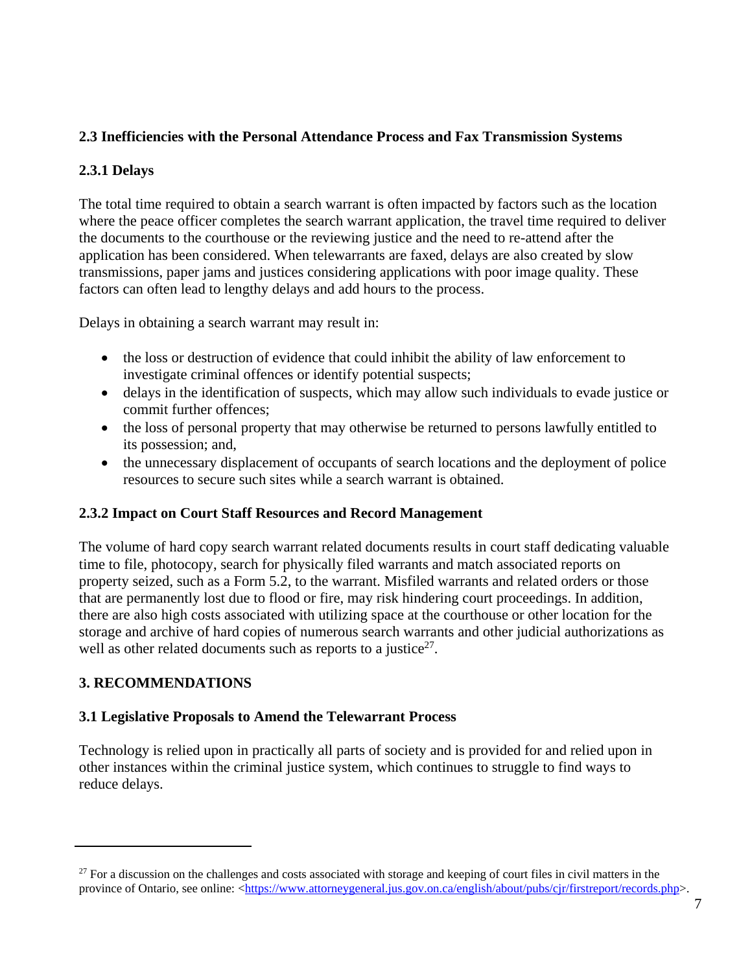### **2.3 Inefficiencies with the Personal Attendance Process and Fax Transmission Systems**

### **2.3.1 Delays**

The total time required to obtain a search warrant is often impacted by factors such as the location where the peace officer completes the search warrant application, the travel time required to deliver the documents to the courthouse or the reviewing justice and the need to re-attend after the application has been considered. When telewarrants are faxed, delays are also created by slow transmissions, paper jams and justices considering applications with poor image quality. These factors can often lead to lengthy delays and add hours to the process.

Delays in obtaining a search warrant may result in:

- the loss or destruction of evidence that could inhibit the ability of law enforcement to investigate criminal offences or identify potential suspects;
- delays in the identification of suspects, which may allow such individuals to evade justice or commit further offences;
- the loss of personal property that may otherwise be returned to persons lawfully entitled to its possession; and,
- the unnecessary displacement of occupants of search locations and the deployment of police resources to secure such sites while a search warrant is obtained.

#### **2.3.2 Impact on Court Staff Resources and Record Management**

The volume of hard copy search warrant related documents results in court staff dedicating valuable time to file, photocopy, search for physically filed warrants and match associated reports on property seized, such as a Form 5.2, to the warrant. Misfiled warrants and related orders or those that are permanently lost due to flood or fire, may risk hindering court proceedings. In addition, there are also high costs associated with utilizing space at the courthouse or other location for the storage and archive of hard copies of numerous search warrants and other judicial authorizations as well as other related documents such as reports to a justice $2^7$ .

## **3. RECOMMENDATIONS**

#### **3.1 Legislative Proposals to Amend the Telewarrant Process**

Technology is relied upon in practically all parts of society and is provided for and relied upon in other instances within the criminal justice system, which continues to struggle to find ways to reduce delays.

 $27$  For a discussion on the challenges and costs associated with storage and keeping of court files in civil matters in the province of Ontario, see online: <https://www.attorneygeneral.jus.gov.on.ca/english/about/pubs/cir/firstreport/records.php>.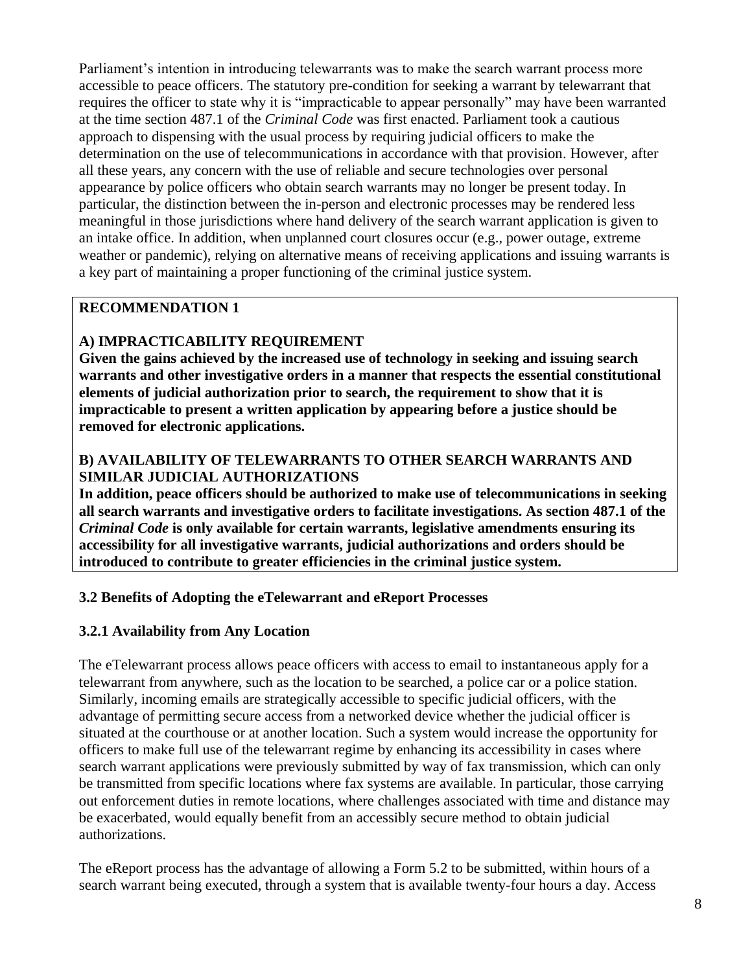Parliament's intention in introducing telewarrants was to make the search warrant process more accessible to peace officers. The statutory pre-condition for seeking a warrant by telewarrant that requires the officer to state why it is "impracticable to appear personally" may have been warranted at the time section 487.1 of the *Criminal Code* was first enacted. Parliament took a cautious approach to dispensing with the usual process by requiring judicial officers to make the determination on the use of telecommunications in accordance with that provision. However, after all these years, any concern with the use of reliable and secure technologies over personal appearance by police officers who obtain search warrants may no longer be present today. In particular, the distinction between the in-person and electronic processes may be rendered less meaningful in those jurisdictions where hand delivery of the search warrant application is given to an intake office. In addition, when unplanned court closures occur (e.g., power outage, extreme weather or pandemic), relying on alternative means of receiving applications and issuing warrants is a key part of maintaining a proper functioning of the criminal justice system.

### **RECOMMENDATION 1**

## **A) IMPRACTICABILITY REQUIREMENT**

**Given the gains achieved by the increased use of technology in seeking and issuing search warrants and other investigative orders in a manner that respects the essential constitutional elements of judicial authorization prior to search, the requirement to show that it is impracticable to present a written application by appearing before a justice should be removed for electronic applications.**

### **B) AVAILABILITY OF TELEWARRANTS TO OTHER SEARCH WARRANTS AND SIMILAR JUDICIAL AUTHORIZATIONS**

**In addition, peace officers should be authorized to make use of telecommunications in seeking all search warrants and investigative orders to facilitate investigations. As section 487.1 of the**  *Criminal Code* **is only available for certain warrants, legislative amendments ensuring its accessibility for all investigative warrants, judicial authorizations and orders should be introduced to contribute to greater efficiencies in the criminal justice system.**

#### **3.2 Benefits of Adopting the eTelewarrant and eReport Processes**

#### **3.2.1 Availability from Any Location**

The eTelewarrant process allows peace officers with access to email to instantaneous apply for a telewarrant from anywhere, such as the location to be searched, a police car or a police station. Similarly, incoming emails are strategically accessible to specific judicial officers, with the advantage of permitting secure access from a networked device whether the judicial officer is situated at the courthouse or at another location. Such a system would increase the opportunity for officers to make full use of the telewarrant regime by enhancing its accessibility in cases where search warrant applications were previously submitted by way of fax transmission, which can only be transmitted from specific locations where fax systems are available. In particular, those carrying out enforcement duties in remote locations, where challenges associated with time and distance may be exacerbated, would equally benefit from an accessibly secure method to obtain judicial authorizations.

The eReport process has the advantage of allowing a Form 5.2 to be submitted, within hours of a search warrant being executed, through a system that is available twenty-four hours a day. Access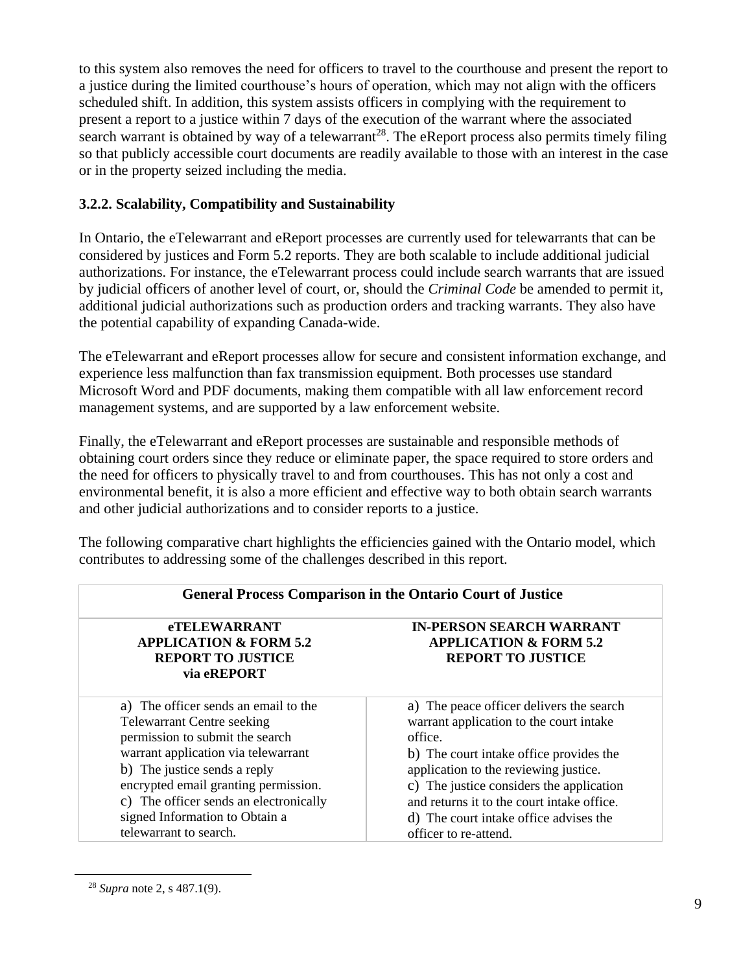to this system also removes the need for officers to travel to the courthouse and present the report to a justice during the limited courthouse's hours of operation, which may not align with the officers scheduled shift. In addition, this system assists officers in complying with the requirement to present a report to a justice within 7 days of the execution of the warrant where the associated search warrant is obtained by way of a telewarrant<sup>28</sup>. The eReport process also permits timely filing so that publicly accessible court documents are readily available to those with an interest in the case or in the property seized including the media.

## **3.2.2. Scalability, Compatibility and Sustainability**

In Ontario, the eTelewarrant and eReport processes are currently used for telewarrants that can be considered by justices and Form 5.2 reports. They are both scalable to include additional judicial authorizations. For instance, the eTelewarrant process could include search warrants that are issued by judicial officers of another level of court, or, should the *Criminal Code* be amended to permit it, additional judicial authorizations such as production orders and tracking warrants. They also have the potential capability of expanding Canada-wide.

The eTelewarrant and eReport processes allow for secure and consistent information exchange, and experience less malfunction than fax transmission equipment. Both processes use standard Microsoft Word and PDF documents, making them compatible with all law enforcement record management systems, and are supported by a law enforcement website.

Finally, the eTelewarrant and eReport processes are sustainable and responsible methods of obtaining court orders since they reduce or eliminate paper, the space required to store orders and the need for officers to physically travel to and from courthouses. This has not only a cost and environmental benefit, it is also a more efficient and effective way to both obtain search warrants and other judicial authorizations and to consider reports to a justice.

The following comparative chart highlights the efficiencies gained with the Ontario model, which contributes to addressing some of the challenges described in this report.

| <b>General Process Comparison in the Ontario Court of Justice</b>                                                                                                                                                                                                                                                                 |                                                                                                                                                                                                                                                                                                                                                 |  |
|-----------------------------------------------------------------------------------------------------------------------------------------------------------------------------------------------------------------------------------------------------------------------------------------------------------------------------------|-------------------------------------------------------------------------------------------------------------------------------------------------------------------------------------------------------------------------------------------------------------------------------------------------------------------------------------------------|--|
| <b>eTELEWARRANT</b><br><b>APPLICATION &amp; FORM 5.2</b><br><b>REPORT TO JUSTICE</b><br>via eREPORT                                                                                                                                                                                                                               | <b>IN-PERSON SEARCH WARRANT</b><br><b>APPLICATION &amp; FORM 5.2</b><br><b>REPORT TO JUSTICE</b>                                                                                                                                                                                                                                                |  |
| a) The officer sends an email to the<br><b>Telewarrant Centre seeking</b><br>permission to submit the search<br>warrant application via telewarrant<br>b) The justice sends a reply<br>encrypted email granting permission.<br>c) The officer sends an electronically<br>signed Information to Obtain a<br>telewarrant to search. | a) The peace officer delivers the search<br>warrant application to the court intake<br>office.<br>b) The court intake office provides the<br>application to the reviewing justice.<br>c) The justice considers the application<br>and returns it to the court intake office.<br>d) The court intake office advises the<br>officer to re-attend. |  |

<sup>28</sup> *Supra* note 2, s 487.1(9).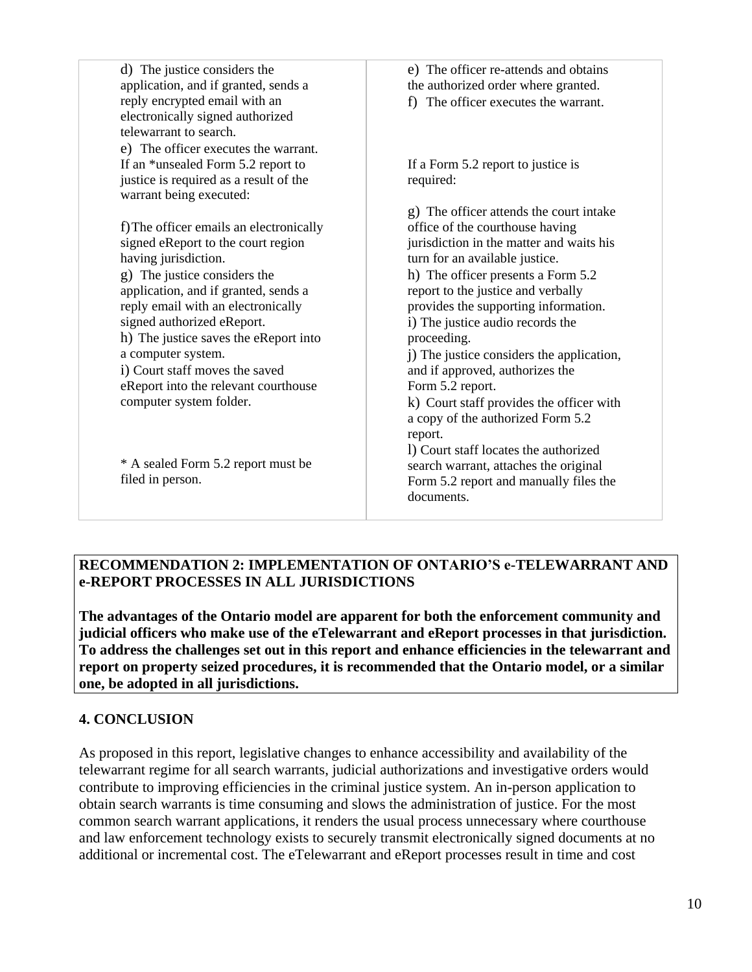| d) The justice considers the            | e) The officer re-attends and obtains     |
|-----------------------------------------|-------------------------------------------|
| application, and if granted, sends a    | the authorized order where granted.       |
| reply encrypted email with an           | f) The officer executes the warrant.      |
| electronically signed authorized        |                                           |
| telewarrant to search.                  |                                           |
| e) The officer executes the warrant.    |                                           |
| If an *unsealed Form 5.2 report to      | If a Form 5.2 report to justice is        |
| justice is required as a result of the  | required:                                 |
| warrant being executed:                 |                                           |
|                                         | g) The officer attends the court intake   |
| f) The officer emails an electronically | office of the courthouse having           |
| signed eReport to the court region      | jurisdiction in the matter and waits his  |
| having jurisdiction.                    | turn for an available justice.            |
| g) The justice considers the            | h) The officer presents a Form 5.2        |
| application, and if granted, sends a    | report to the justice and verbally        |
| reply email with an electronically      | provides the supporting information.      |
| signed authorized eReport.              | i) The justice audio records the          |
| h) The justice saves the eReport into   | proceeding.                               |
| a computer system.                      | j) The justice considers the application, |
| i) Court staff moves the saved          | and if approved, authorizes the           |
| eReport into the relevant courthouse    | Form 5.2 report.                          |
| computer system folder.                 | k) Court staff provides the officer with  |
|                                         | a copy of the authorized Form 5.2         |
|                                         | report.                                   |
|                                         | I) Court staff locates the authorized     |
| * A sealed Form 5.2 report must be      | search warrant, attaches the original     |
| filed in person.                        | Form 5.2 report and manually files the    |
|                                         | documents.                                |
|                                         |                                           |

#### **RECOMMENDATION 2: IMPLEMENTATION OF ONTARIO'S e-TELEWARRANT AND e-REPORT PROCESSES IN ALL JURISDICTIONS**

**The advantages of the Ontario model are apparent for both the enforcement community and judicial officers who make use of the eTelewarrant and eReport processes in that jurisdiction. To address the challenges set out in this report and enhance efficiencies in the telewarrant and report on property seized procedures, it is recommended that the Ontario model, or a similar one, be adopted in all jurisdictions.**

## **4. CONCLUSION**

As proposed in this report, legislative changes to enhance accessibility and availability of the telewarrant regime for all search warrants, judicial authorizations and investigative orders would contribute to improving efficiencies in the criminal justice system. An in-person application to obtain search warrants is time consuming and slows the administration of justice. For the most common search warrant applications, it renders the usual process unnecessary where courthouse and law enforcement technology exists to securely transmit electronically signed documents at no additional or incremental cost. The eTelewarrant and eReport processes result in time and cost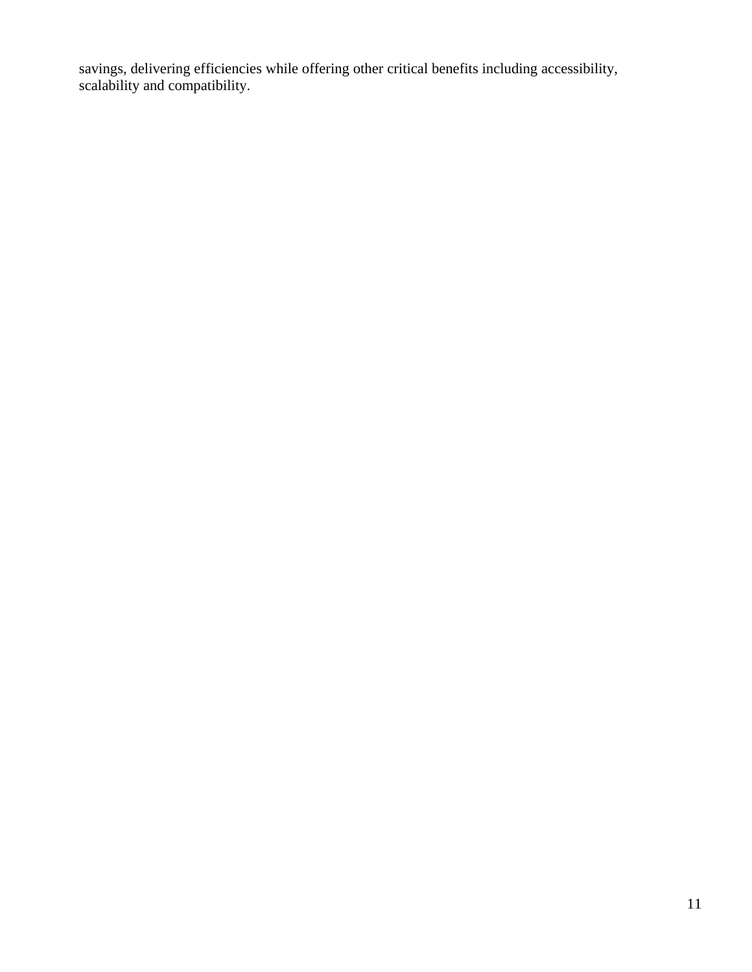savings, delivering efficiencies while offering other critical benefits including accessibility, scalability and compatibility.